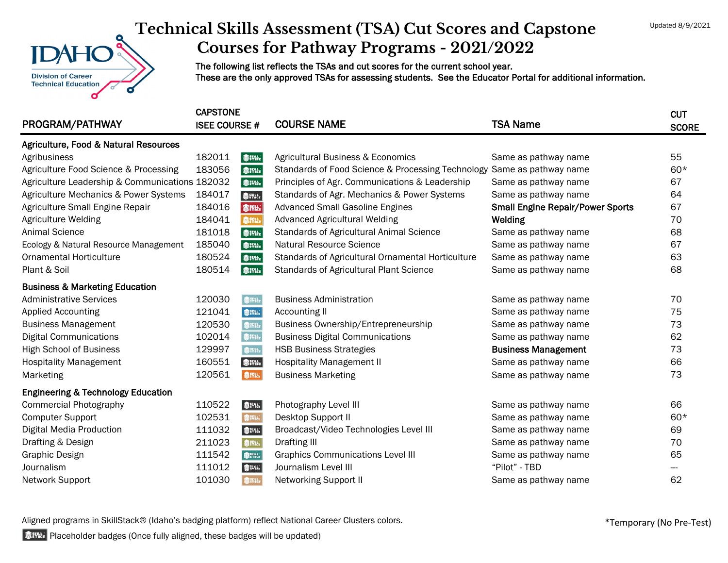## **Division of Career Technical Education**

## **Technical Skills Assessment (TSA) Cut Scores and Capstone Courses for Pathway Programs - 2021/2022**

The following list reflects the TSAs and cut scores for the current school year. These are the only approved TSAs for assessing students. See the Educator Portal for additional information.

| PROGRAM/PATHWAY                                | <b>CAPSTONE</b><br><b>ISEE COURSE #</b> |             | <b>COURSE NAME</b>                                | <b>TSA Name</b>                         | <b>CUT</b><br><b>SCORE</b> |
|------------------------------------------------|-----------------------------------------|-------------|---------------------------------------------------|-----------------------------------------|----------------------------|
| Agriculture, Food & Natural Resources          |                                         |             |                                                   |                                         |                            |
| Agribusiness                                   | 182011                                  | SIPH:       | Agricultural Business & Economics                 | Same as pathway name                    | 55                         |
| Agriculture Food Science & Processing          | 183056                                  | <b>参評法</b>  | Standards of Food Science & Processing Technology | Same as pathway name                    | $60*$                      |
| Agriculture Leadership & Communications 182032 |                                         | <b>参評法</b>  | Principles of Agr. Communications & Leadership    | Same as pathway name                    | 67                         |
| Agriculture Mechanics & Power Systems          | 184017                                  | SIPIN       | Standards of Agr. Mechanics & Power Systems       | Same as pathway name                    | 64                         |
| Agriculture Small Engine Repair                | 184016                                  | <b>参拌品</b>  | <b>Advanced Small Gasoline Engines</b>            | <b>Small Engine Repair/Power Sports</b> | 67                         |
| Agriculture Welding                            | 184041                                  | Sinu.       | <b>Advanced Agricultural Welding</b>              | Welding                                 | 70                         |
| <b>Animal Science</b>                          | 181018                                  | Sittler     | <b>Standards of Agricultural Animal Science</b>   | Same as pathway name                    | 68                         |
| Ecology & Natural Resource Management          | 185040                                  | <b>参評社</b>  | Natural Resource Science                          | Same as pathway name                    | 67                         |
| <b>Ornamental Horticulture</b>                 | 180524                                  | SIPH.       | Standards of Agricultural Ornamental Horticulture | Same as pathway name                    | 63                         |
| Plant & Soil                                   | 180514                                  | <b>参評社</b>  | <b>Standards of Agricultural Plant Science</b>    | Same as pathway name                    | 68                         |
| <b>Business &amp; Marketing Education</b>      |                                         |             |                                                   |                                         |                            |
| <b>Administrative Services</b>                 | 120030                                  | Sittler     | <b>Business Administration</b>                    | Same as pathway name                    | 70                         |
| <b>Applied Accounting</b>                      | 121041                                  | ● #Phi      | Accounting II                                     | Same as pathway name                    | 75                         |
| <b>Business Management</b>                     | 120530                                  | \$ITH.      | Business Ownership/Entrepreneurship               | Same as pathway name                    | 73                         |
| <b>Digital Communications</b>                  | 102014                                  | ŞIM.        | <b>Business Digital Communications</b>            | Same as pathway name                    | 62                         |
| <b>High School of Business</b>                 | 129997                                  | SITIL.      | <b>HSB Business Strategies</b>                    | <b>Business Management</b>              | 73                         |
| <b>Hospitality Management</b>                  | 160551                                  | <b>参</b> 群品 | <b>Hospitality Management II</b>                  | Same as pathway name                    | 66                         |
| Marketing                                      | 120561                                  | SIPACE      | <b>Business Marketing</b>                         | Same as pathway name                    | 73                         |
| <b>Engineering &amp; Technology Education</b>  |                                         |             |                                                   |                                         |                            |
| <b>Commercial Photography</b>                  | 110522                                  | <b>参照</b>   | Photography Level III                             | Same as pathway name                    | 66                         |
| <b>Computer Support</b>                        | 102531                                  | SITAL.      | Desktop Support II                                | Same as pathway name                    | $60*$                      |
| <b>Digital Media Production</b>                | 111032                                  | <b>参評版</b>  | Broadcast/Video Technologies Level III            | Same as pathway name                    | 69                         |
| Drafting & Design                              | 211023                                  | SiTate      | Drafting III                                      | Same as pathway name                    | 70                         |
| <b>Graphic Design</b>                          | 111542                                  | SIPIL       | <b>Graphics Communications Level III</b>          | Same as pathway name                    | 65                         |
| Journalism                                     | 111012                                  | SING.       | Journalism Level III                              | "Pilot" - TBD                           |                            |
| Network Support                                | 101030                                  | SITH        | <b>Networking Support II</b>                      | Same as pathway name                    | 62                         |

Aligned programs in SkillStack® (Idaho's badging platform) reflect National Career Clusters colors.

**Placeholder badges (Once fully aligned, these badges will be updated)**